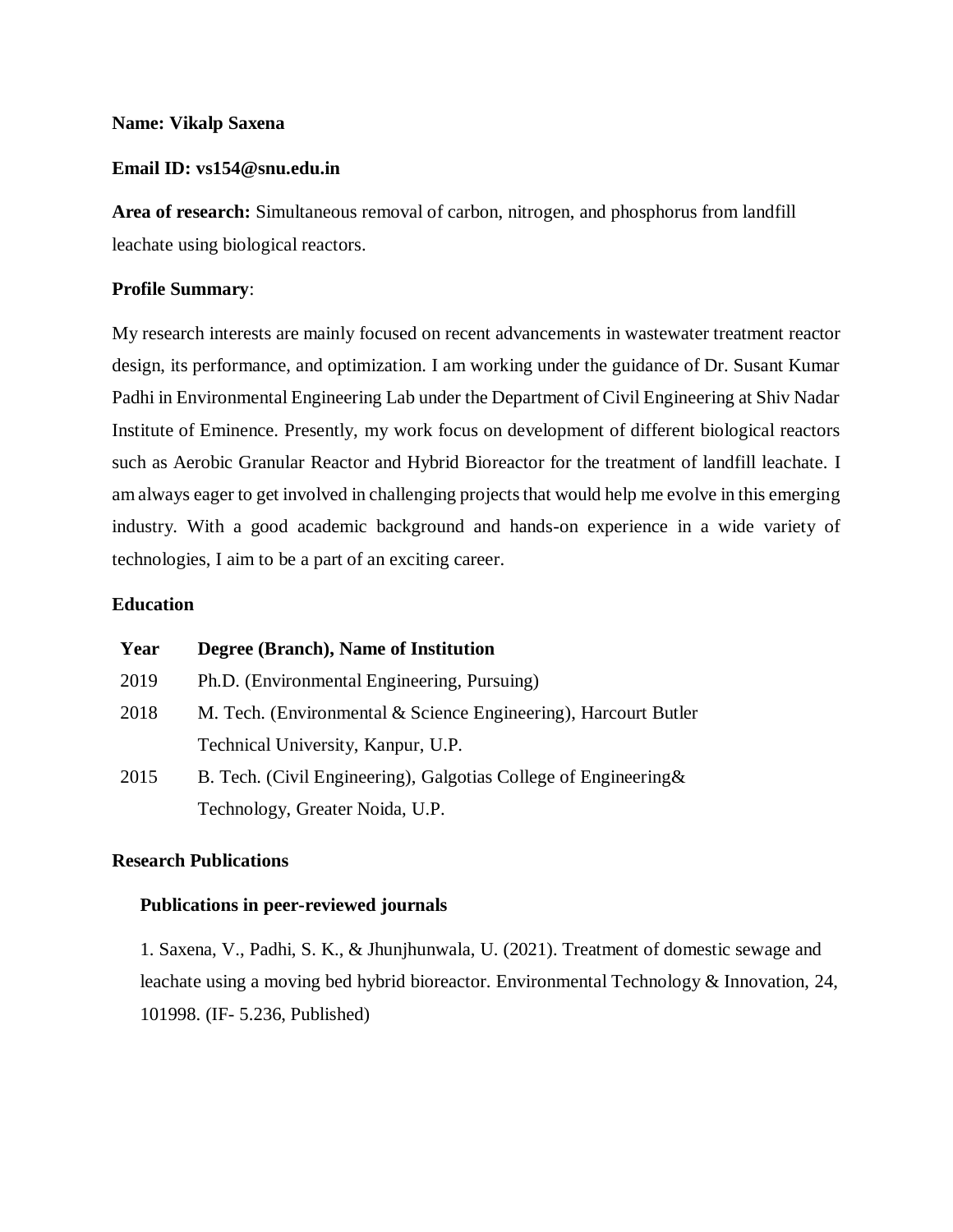### **Name: Vikalp Saxena**

# **Email ID: vs154@snu.edu.in**

**Area of research:** Simultaneous removal of carbon, nitrogen, and phosphorus from landfill leachate using biological reactors.

## **Profile Summary**:

My research interests are mainly focused on recent advancements in wastewater treatment reactor design, its performance, and optimization. I am working under the guidance of Dr. Susant Kumar Padhi in Environmental Engineering Lab under the Department of Civil Engineering at Shiv Nadar Institute of Eminence. Presently, my work focus on development of different biological reactors such as Aerobic Granular Reactor and Hybrid Bioreactor for the treatment of landfill leachate. I am always eager to get involved in challenging projects that would help me evolve in this emerging industry. With a good academic background and hands-on experience in a wide variety of technologies, I aim to be a part of an exciting career.

## **Education**

| Year | Degree (Branch), Name of Institution                             |
|------|------------------------------------------------------------------|
| 2019 | Ph.D. (Environmental Engineering, Pursuing)                      |
| 2018 | M. Tech. (Environmental & Science Engineering), Harcourt Butler  |
|      | Technical University, Kanpur, U.P.                               |
| 2015 | B. Tech. (Civil Engineering), Galgotias College of Engineering & |
|      | Technology, Greater Noida, U.P.                                  |

# **Research Publications**

### **Publications in peer-reviewed journals**

1. Saxena, V., Padhi, S. K., & Jhunjhunwala, U. (2021). Treatment of domestic sewage and leachate using a moving bed hybrid bioreactor. Environmental Technology & Innovation, 24, 101998. (IF- 5.236, Published)